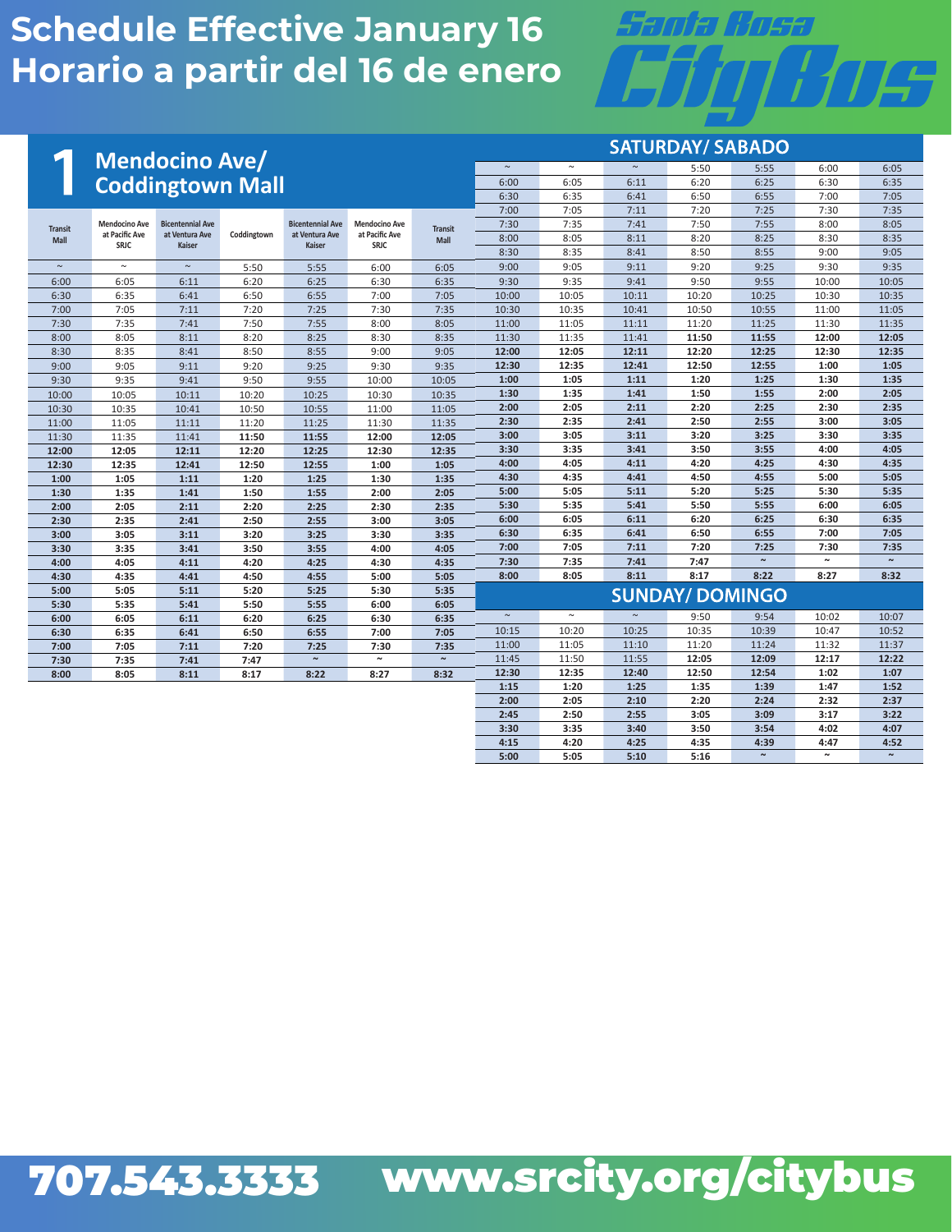# Santa Cosa 'HIF

 **3:30 3:35 3:40 3:50 3:54 4:02 4:07 4:15 4:20 4:25 4:35 4:39 4:47 4:52** 

**~**

**~**

**~**

 **5:00 5:05 5:10 5:16** 

|                                                      |                               |                                 |             |                                 |                        |                | <b>SATURDAY/ SABADO</b> |        |       |                        |        |                       |                       |  |  |  |
|------------------------------------------------------|-------------------------------|---------------------------------|-------------|---------------------------------|------------------------|----------------|-------------------------|--------|-------|------------------------|--------|-----------------------|-----------------------|--|--|--|
|                                                      |                               | <b>Mendocino Ave/</b>           |             |                                 |                        |                | $\sim$                  | $\sim$ |       | 5:50                   | 5:55   | 6:00                  | 6:05                  |  |  |  |
|                                                      |                               | <b>Coddingtown Mall</b>         |             |                                 |                        |                | 6:00                    | 6:05   | 6:11  | 6:20                   | 6:25   | 6:30                  | 6:35                  |  |  |  |
|                                                      |                               |                                 |             |                                 |                        |                | 6:30                    | 6:35   | 6:41  | 6:50                   | 6:55   | 7:00                  | 7:05                  |  |  |  |
|                                                      |                               |                                 |             |                                 |                        |                | 7:00                    | 7:05   | 7:11  | 7:20                   | 7:25   | 7:30                  | 7:35                  |  |  |  |
| <b>Transit</b>                                       | <b>Mendocino Ave</b>          | <b>Bicentennial Ave</b>         |             | <b>Bicentennial Ave</b>         | <b>Mendocino Ave</b>   | <b>Transit</b> | 7:30                    | 7:35   | 7:41  | 7:50                   | 7:55   | 8:00                  | 8:05                  |  |  |  |
| <b>Mall</b>                                          | at Pacific Ave<br><b>SRJC</b> | at Ventura Ave<br><b>Kaiser</b> | Coddingtown | at Ventura Ave<br><b>Kaiser</b> | at Pacific Ave<br>SRJC | Mall           | 8:00                    | 8:05   | 8:11  | 8:20                   | 8:25   | 8:30                  | 8:35                  |  |  |  |
|                                                      |                               |                                 |             |                                 |                        |                | 8:30                    | 8:35   | 8:41  | 8:50                   | 8:55   | 9:00                  | 9:05                  |  |  |  |
| $\sim$                                               | $\sim$                        | $\sim$                          | 5:50        | 5:55                            | 6:00                   | 6:05           | 9:00                    | 9:05   | 9:11  | 9:20                   | 9:25   | 9:30                  | 9:35                  |  |  |  |
| 6:00                                                 | 6:05                          | 6:11                            | 6:20        | 6:25                            | 6:30                   | 6:35           | 9:30                    | 9:35   | 9:41  | 9:50                   | 9:55   | 10:00                 | 10:05                 |  |  |  |
| 6:30                                                 | 6:35                          | 6:41                            | 6:50        | 6:55                            | 7:00                   | 7:05           | 10:00                   | 10:05  | 10:11 | 10:20                  | 10:25  | 10:30                 | 10:35                 |  |  |  |
| 7:00                                                 | 7:05                          | 7:11                            | 7:20        | 7:25                            | 7:30                   | 7:35           | 10:30                   | 10:35  | 10:41 | 10:50                  | 10:55  | 11:00                 | 11:05                 |  |  |  |
| 7:30                                                 | 7:35                          | 7:41                            | 7:50        | 7:55                            | 8:00                   | 8:05           | 11:00                   | 11:05  | 11:11 | 11:20                  | 11:25  | 11:30                 | 11:35                 |  |  |  |
| 8:00                                                 | 8:05                          | 8:11                            | 8:20        | 8:25                            | 8:30                   | 8:35           | 11:30                   | 11:35  | 11:41 | 11:50                  | 11:55  | 12:00                 | 12:05                 |  |  |  |
| 8:30                                                 | 8:35                          | 8:41                            | 8:50        | 8:55                            | 9:00                   | 9:05           | 12:00                   | 12:05  | 12:11 | 12:20                  | 12:25  | 12:30                 | 12:35                 |  |  |  |
| 9:00                                                 | 9:05                          | 9:11                            | 9:20        | 9:25                            | 9:30                   | 9:35           | 12:30                   | 12:35  | 12:41 | 12:50                  | 12:55  | 1:00                  | 1:05                  |  |  |  |
| 9:30                                                 | 9:35                          | 9:41                            | 9:50        | 9:55                            | 10:00                  | 10:05          | 1:00                    | 1:05   | 1:11  | 1:20                   | 1:25   | 1:30                  | 1:35                  |  |  |  |
| 10:00                                                | 10:05                         | 10:11                           | 10:20       | 10:25                           | 10:30                  | 10:35          | 1:30                    | 1:35   | 1:41  | 1:50                   | 1:55   | 2:00                  | 2:05                  |  |  |  |
| 10:30                                                | 10:35                         | 10:41                           | 10:50       | 10:55                           | 11:00                  | 11:05          | 2:00                    | 2:05   | 2:11  | 2:20                   | 2:25   | 2:30                  | 2:35                  |  |  |  |
| 11:00                                                | 11:05                         | 11:11                           | 11:20       | 11:25                           | 11:30                  | 11:35          | 2:30                    | 2:35   | 2:41  | 2:50                   | 2:55   | 3:00                  | 3:05                  |  |  |  |
| 11:30                                                | 11:35                         | 11:41                           | 11:50       | 11:55                           | 12:00                  | 12:05          | 3:00                    | 3:05   | 3:11  | 3:20                   | 3:25   | 3:30                  | 3:35                  |  |  |  |
| 12:00                                                | 12:05                         | 12:11                           | 12:20       | 12:25                           | 12:30                  | 12:35          | 3:30                    | 3:35   | 3:41  | 3:50                   | 3:55   | 4:00                  | 4:05                  |  |  |  |
| 12:30                                                | 12:35                         | 12:41                           | 12:50       | 12:55                           | 1:00                   | 1:05           | 4:00                    | 4:05   | 4:11  | 4:20                   | 4:25   | 4:30                  | 4:35                  |  |  |  |
| 1:00                                                 | 1:05                          | 1:11                            | 1:20        | 1:25                            | 1:30                   | 1:35           | 4:30                    | 4:35   | 4:41  | 4:50                   | 4:55   | 5:00                  | 5:05                  |  |  |  |
| 1:30                                                 | 1:35                          | 1:41                            | 1:50        | 1:55                            | 2:00                   | 2:05           | 5:00                    | 5:05   | 5:11  | 5:20                   | 5:25   | 5:30                  | 5:35                  |  |  |  |
| 2:00                                                 | 2:05                          | 2:11                            | 2:20        | 2:25                            | 2:30                   | 2:35           | 5:30                    | 5:35   | 5:41  | 5:50                   | 5:55   | 6:00                  | 6:05                  |  |  |  |
| 2:30                                                 | 2:35                          | 2:41                            | 2:50        | 2:55                            | 3:00                   | 3:05           | 6:00                    | 6:05   | 6:11  | 6:20                   | 6:25   | 6:30                  | 6:35                  |  |  |  |
| 3:00                                                 | 3:05                          | 3:11                            | 3:20        | 3:25                            | 3:30                   | 3:35           | 6:30                    | 6:35   | 6:41  | 6:50                   | 6:55   | 7:00                  | 7:05                  |  |  |  |
| 3:30                                                 | 3:35                          | 3:41                            | 3:50        | 3:55                            | 4:00                   | 4:05           | 7:00                    | 7:05   | 7:11  | 7:20                   | 7:25   | 7:30                  | 7:35                  |  |  |  |
| 4:00                                                 | 4:05                          | 4:11                            | 4:20        | 4:25                            | 4:30                   | 4:35           | 7:30                    | 7:35   | 7:41  | 7:47                   | $\sim$ | $\tilde{\phantom{a}}$ | $\tilde{\phantom{a}}$ |  |  |  |
| 4:30                                                 | 4:35                          | 4:41                            | 4:50        | 4:55                            | 5:00                   | 5:05           | 8:00                    | 8:05   | 8:11  | 8:17                   | 8:22   | 8:27                  | 8:32                  |  |  |  |
| 5:00                                                 | 5:05                          | 5:11                            | 5:20        | 5:25                            | 5:30                   | 5:35           |                         |        |       | <b>SUNDAY/ DOMINGO</b> |        |                       |                       |  |  |  |
| 5:30                                                 | 5:35                          | 5:41                            | 5:50        | 5:55                            | 6:00                   | 6:05           | $\sim$                  | $\sim$ |       |                        |        |                       |                       |  |  |  |
| 6:00                                                 | 6:05                          | 6:11                            | 6:20        | 6:25                            | 6:30                   | 6:35           |                         |        |       | 9:50                   | 9:54   | 10:02                 | 10:07                 |  |  |  |
| 6:30                                                 | 6:35                          | 6:41                            | 6:50        | 6:55                            | 7:00                   | 7:05           | 10:15                   | 10:20  | 10:25 | 10:35                  | 10:39  | 10:47                 | 10:52                 |  |  |  |
| 7:00                                                 | 7:05                          | 7:11                            | 7:20        | 7:25                            | 7:30                   | 7:35           | 11:00                   | 11:05  | 11:10 | 11:20                  | 11:24  | 11:32                 | 11:37                 |  |  |  |
| 7:30                                                 | 7:35                          | 7:41                            | 7:47        | $\tilde{\phantom{a}}$           | $\sim$                 | $\sim$         | 11:45<br>12:30          | 11:50  | 11:55 | 12:05                  | 12:09  | 12:17                 | 12:22                 |  |  |  |
| 8:05<br>8:11<br>8:17<br>8:22<br>8:27<br>8:32<br>8:00 |                               |                                 |             |                                 |                        |                |                         | 12:35  | 12:40 | 12:50                  | 12:54  | 1:02                  | 1:07                  |  |  |  |
|                                                      |                               |                                 |             |                                 |                        |                | 1:15                    | 1:20   | 1:25  | 1:35                   | 1:39   | 1:47                  | 1:52                  |  |  |  |
|                                                      |                               |                                 |             |                                 |                        |                | 2:00                    | 2:05   | 2:10  | 2:20                   | 2:24   | 2:32                  | 2:37                  |  |  |  |
|                                                      |                               |                                 |             |                                 |                        |                | 2:45                    | 2:50   | 2:55  | 3:05                   | 3:09   | 3:17                  | 3:22                  |  |  |  |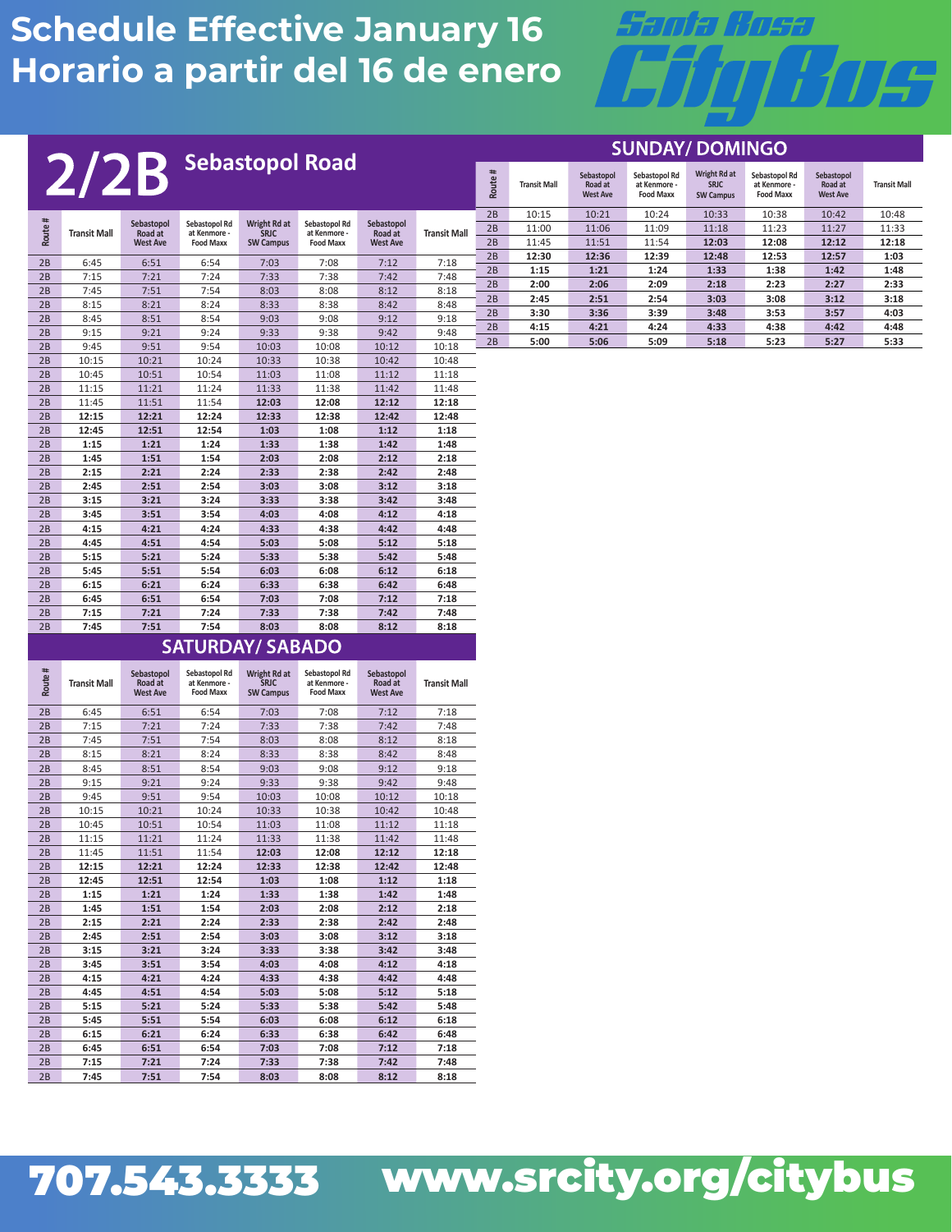

SHNDAY/DOMINGO

| <b>Sebastopol Road</b> |        |                     |                       |                               |                      |                               |                       | <b>JUNUAH DUMINUU</b> |        |                     |                                          |                                                   |                                                 |                                                   |                                          |                     |
|------------------------|--------|---------------------|-----------------------|-------------------------------|----------------------|-------------------------------|-----------------------|-----------------------|--------|---------------------|------------------------------------------|---------------------------------------------------|-------------------------------------------------|---------------------------------------------------|------------------------------------------|---------------------|
|                        |        | 2/2B                |                       |                               |                      |                               |                       |                       | Route# | <b>Transit Mall</b> | Sebastopol<br>Road at<br><b>West Ave</b> | Sebastopol Rd<br>at Kenmore -<br><b>Food Maxx</b> | Wright Rd at<br><b>SRJC</b><br><b>SW Campus</b> | Sebastopol Rd<br>at Kenmore -<br><b>Food Maxx</b> | Sebastopol<br>Road at<br><b>West Ave</b> | <b>Transit Mall</b> |
|                        |        |                     |                       |                               |                      |                               |                       |                       | 2B     | 10:15               | 10:21                                    | 10:24                                             | 10:33                                           | 10:38                                             | 10:42                                    | 10:48               |
|                        | Route# | <b>Transit Mall</b> | Sebastopol<br>Road at | Sebastopol Rd<br>at Kenmore - | Wright Rd at<br>SRJC | Sebastopol Rd<br>at Kenmore - | Sebastopol<br>Road at | <b>Transit Mall</b>   | 2B     | 11:00               | 11:06                                    | 11:09                                             | 11:18                                           | 11:23                                             | 11:27                                    | 11:33               |
|                        |        |                     | <b>West Ave</b>       | <b>Food Maxx</b>              | <b>SW Campus</b>     | <b>Food Maxx</b>              | <b>West Ave</b>       |                       | 2B     | 11:45               | 11:51                                    | 11:54                                             | 12:03                                           | 12:08                                             | 12:12                                    | 12:18               |
|                        | 2B     | 6:45                | 6:51                  | 6:54                          | 7:03                 | 7:08                          | 7:12                  | 7:18                  | 2B     | 12:30               | 12:36                                    | 12:39                                             | 12:48                                           | 12:53                                             | 12:57                                    | 1:03                |
|                        | 2B     | 7:15                | 7:21                  | 7:24                          | 7:33                 | 7:38                          | 7:42                  | 7:48                  | 2B     | 1:15                | 1:21                                     | 1:24                                              | 1:33                                            | 1:38                                              | 1:42                                     | 1:48                |
|                        | 2B     | 7:45                | 7:51                  | 7:54                          | 8:03                 | 8:08                          | 8:12                  | 8:18                  | 2B     | 2:00                | 2:06                                     | 2:09                                              | 2:18                                            | 2:23                                              | 2:27                                     | 2:33                |
|                        | 2B     | 8:15                | 8:21                  | 8:24                          | 8:33                 | 8:38                          | 8:42                  | 8:48                  | 2B     | 2:45                | 2:51                                     | 2:54                                              | 3:03                                            | 3:08                                              | 3:12                                     | 3:18                |
|                        | 2B     | 8:45                | 8:51                  | 8:54                          | 9:03                 | 9:08                          | 9:12                  | 9:18                  | 2B     | 3:30                | 3:36                                     | 3:39                                              | 3:48                                            | 3:53                                              | 3:57                                     | 4:03                |
|                        | 2B     | 9:15                | 9:21                  | 9:24                          | 9:33                 | 9:38                          | 9:42                  | 9:48                  | 2B     | 4:15                | 4:21                                     | 4:24                                              | 4:33                                            | 4:38                                              | 4:42                                     | 4:48                |
|                        | 2B     | 9:45                | 9:51                  | 9:54                          | 10:03                | 10:08                         | 10:12                 | 10:18                 | 2B     | 5:00                | 5:06                                     | 5:09                                              | 5:18                                            | 5:23                                              | 5:27                                     | 5:33                |
|                        | 2B     | 10:15               | 10:21                 | 10:24                         | 10:33                | 10:38                         | 10:42                 | 10:48                 |        |                     |                                          |                                                   |                                                 |                                                   |                                          |                     |
|                        | 2B     | 10:45               | 10:51                 | 10:54                         | 11:03                | 11:08                         | 11:12                 | 11:18                 |        |                     |                                          |                                                   |                                                 |                                                   |                                          |                     |
|                        | 2B     | 11:15               | 11:21                 | 11:24                         | 11:33                | 11:38                         | 11:42                 | 11:48                 |        |                     |                                          |                                                   |                                                 |                                                   |                                          |                     |
|                        | 2B     | 11:45               | 11:51                 | 11:54                         | 12:03                | 12:08                         | 12:12                 | 12:18                 |        |                     |                                          |                                                   |                                                 |                                                   |                                          |                     |
|                        | 2B     | 12:15               | 12:21                 | 12:24                         | 12:33                | 12:38                         | 12:42                 | 12:48                 |        |                     |                                          |                                                   |                                                 |                                                   |                                          |                     |
|                        | 2B     | 12:45               | 12:51                 | 12:54                         | 1:03                 | 1:08                          | 1:12                  | 1:18                  |        |                     |                                          |                                                   |                                                 |                                                   |                                          |                     |
|                        | 2B     | 1:15                | 1:21                  | 1:24                          | 1:33                 | 1:38                          | 1:42                  | 1:48                  |        |                     |                                          |                                                   |                                                 |                                                   |                                          |                     |
|                        | 2B     | 1:45                | 1:51                  | 1:54                          | 2:03                 | 2:08                          | 2:12                  | 2:18                  |        |                     |                                          |                                                   |                                                 |                                                   |                                          |                     |
|                        | 2B     | 2:15                | 2:21                  | 2:24                          | 2:33                 | 2:38                          | 2:42                  | 2:48                  |        |                     |                                          |                                                   |                                                 |                                                   |                                          |                     |
|                        | 2B     | 2:45                | 2:51                  | 2:54                          | 3:03                 | 3:08                          | 3:12                  | 3:18                  |        |                     |                                          |                                                   |                                                 |                                                   |                                          |                     |
|                        | 2B     | 3:15                | 3:21                  | 3:24                          | 3:33                 | 3:38                          | 3:42                  | 3:48                  |        |                     |                                          |                                                   |                                                 |                                                   |                                          |                     |
|                        | 2B     | 3:45                | 3:51                  | 3:54                          | 4:03                 | 4:08                          | 4:12                  | 4:18                  |        |                     |                                          |                                                   |                                                 |                                                   |                                          |                     |
|                        | 2B     | 4:15                | 4:21                  | 4:24                          | 4:33                 | 4:38                          | 4:42                  | 4:48                  |        |                     |                                          |                                                   |                                                 |                                                   |                                          |                     |
|                        | 2B     | 4:45                | 4:51                  | 4:54                          | 5:03                 | 5:08                          | 5:12                  | 5:18                  |        |                     |                                          |                                                   |                                                 |                                                   |                                          |                     |
|                        | 2B     | 5:15                | 5:21                  | 5:24                          | 5:33                 | 5:38                          | 5:42                  | 5:48                  |        |                     |                                          |                                                   |                                                 |                                                   |                                          |                     |
|                        | 2B     | 5:45                | 5:51                  | 5:54                          | 6:03                 | 6:08                          | 6:12                  | 6:18                  |        |                     |                                          |                                                   |                                                 |                                                   |                                          |                     |
|                        | 2B     | 6:15                | 6:21                  | 6:24                          | 6:33                 | 6:38                          | 6:42                  | 6:48                  |        |                     |                                          |                                                   |                                                 |                                                   |                                          |                     |
|                        | 2B     | 6:45                | 6:51                  | 6:54                          | 7:03                 | 7:08                          | 7:12                  | 7:18                  |        |                     |                                          |                                                   |                                                 |                                                   |                                          |                     |
|                        | 2B     | 7:15                | 7:21                  | 7:24                          | 7:33                 | 7:38                          | 7:42                  | 7:48                  |        |                     |                                          |                                                   |                                                 |                                                   |                                          |                     |
|                        | 2B     | 7:45                | 7:51                  | 7:54                          | 8:03                 | 8:08                          | 8:12                  | 8:18                  |        |                     |                                          |                                                   |                                                 |                                                   |                                          |                     |

#### **SATURDAY/ SABADO**

| #<br>Route | <b>Transit Mall</b> | Sebastopol<br>Road at<br><b>West Ave</b> | <b>Sebastopol Rd</b><br>at Kenmore -<br><b>Food Maxx</b> | <b>Wright Rd at</b><br><b>SRJC</b><br><b>SW Campus</b> | Sebastopol Rd<br>at Kenmore -<br><b>Food Maxx</b> | Sebastopol<br>Road at<br><b>West Ave</b> | <b>Transit Mall</b> |
|------------|---------------------|------------------------------------------|----------------------------------------------------------|--------------------------------------------------------|---------------------------------------------------|------------------------------------------|---------------------|
| 2B         | 6:45                | 6:51                                     | 6:54                                                     | 7:03                                                   | 7:08                                              | 7:12                                     | 7:18                |
| 2B         | 7:15                | 7:21                                     | 7:24                                                     | 7:33                                                   | 7:38                                              | 7:42                                     | 7:48                |
| 2B         | 7:45                | 7:51                                     | 7:54                                                     | 8:03                                                   | 8:08                                              | 8:12                                     | 8:18                |
| 2B         | 8:15                | 8:21                                     | 8:24                                                     | 8:33                                                   | 8:38                                              | 8:42                                     | 8:48                |
| 2B         | 8:45                | 8:51                                     | 8:54                                                     | 9:03                                                   | 9:08                                              | 9:12                                     | 9:18                |
| 2B         | 9:15                | 9:21                                     | 9:24                                                     | 9:33                                                   | 9:38                                              | 9:42                                     | 9:48                |
| 2B         | 9:45                | 9:51                                     | 9:54                                                     | 10:03                                                  | 10:08                                             | 10:12                                    | 10:18               |
| 2B         | 10:15               | 10:21                                    | 10:24                                                    | 10:33                                                  | 10:38                                             | 10:42                                    | 10:48               |
| 2B         | 10:45               | 10:51                                    | 10:54                                                    | 11:03                                                  | 11:08                                             | 11:12                                    | 11:18               |
| 2B         | 11:15               | 11:21                                    | 11:24                                                    | 11:33                                                  | 11:38                                             | 11:42                                    | 11:48               |
| 2B         | 11:45               | 11:51                                    | 11:54                                                    | 12:03                                                  | 12:08                                             | 12:12                                    | 12:18               |
| 2B         | 12:15               | 12:21                                    | 12:24                                                    | 12:33                                                  | 12:38                                             | 12:42                                    | 12:48               |
| 2B         | 12:45               | 12:51                                    | 12:54                                                    | 1:03                                                   | 1:08                                              | 1:12                                     | 1:18                |
| 2B         | 1:15                | 1:21                                     | 1:24                                                     | 1:33                                                   | 1:38                                              | 1:42                                     | 1:48                |
| 2B         | 1:45                | 1:51                                     | 1:54                                                     | 2:03                                                   | 2:08                                              | 2:12                                     | 2:18                |
| 2B         | 2:15                | 2:21                                     | 2:24                                                     | 2:33                                                   | 2:38                                              | 2:42                                     | 2:48                |
| 2B         | 2:45                | 2:51                                     | 2:54                                                     | 3:03                                                   | 3:08                                              | 3:12                                     | 3:18                |
| 2B         | 3:15                | 3:21                                     | 3:24                                                     | 3:33                                                   | 3:38                                              | 3:42                                     | 3:48                |
| 2B         | 3:45                | 3:51                                     | 3:54                                                     | 4:03                                                   | 4:08                                              | 4:12                                     | 4:18                |
| 2B         | 4:15                | 4:21                                     | 4:24                                                     | 4:33                                                   | 4:38                                              | 4:42                                     | 4:48                |
| 2B         | 4:45                | 4:51                                     | 4:54                                                     | 5:03                                                   | 5:08                                              | 5:12                                     | 5:18                |
| 2B         | 5:15                | 5:21                                     | 5:24                                                     | 5:33                                                   | 5:38                                              | 5:42                                     | 5:48                |
| 2B         | 5:45                | 5:51                                     | 5:54                                                     | 6:03                                                   | 6:08                                              | 6:12                                     | 6:18                |
| 2B         | 6:15                | 6:21                                     | 6:24                                                     | 6:33                                                   | 6:38                                              | 6:42                                     | 6:48                |
| 2B         | 6:45                | 6:51                                     | 6:54                                                     | 7:03                                                   | 7:08                                              | 7:12                                     | 7:18                |
| 2B         | 7:15                | 7:21                                     | 7:24                                                     | 7:33                                                   | 7:38                                              | 7:42                                     | 7:48                |
| 2B         | 7:45                | 7:51                                     | 7:54                                                     | 8:03                                                   | 8:08                                              | 8:12                                     | 8:18                |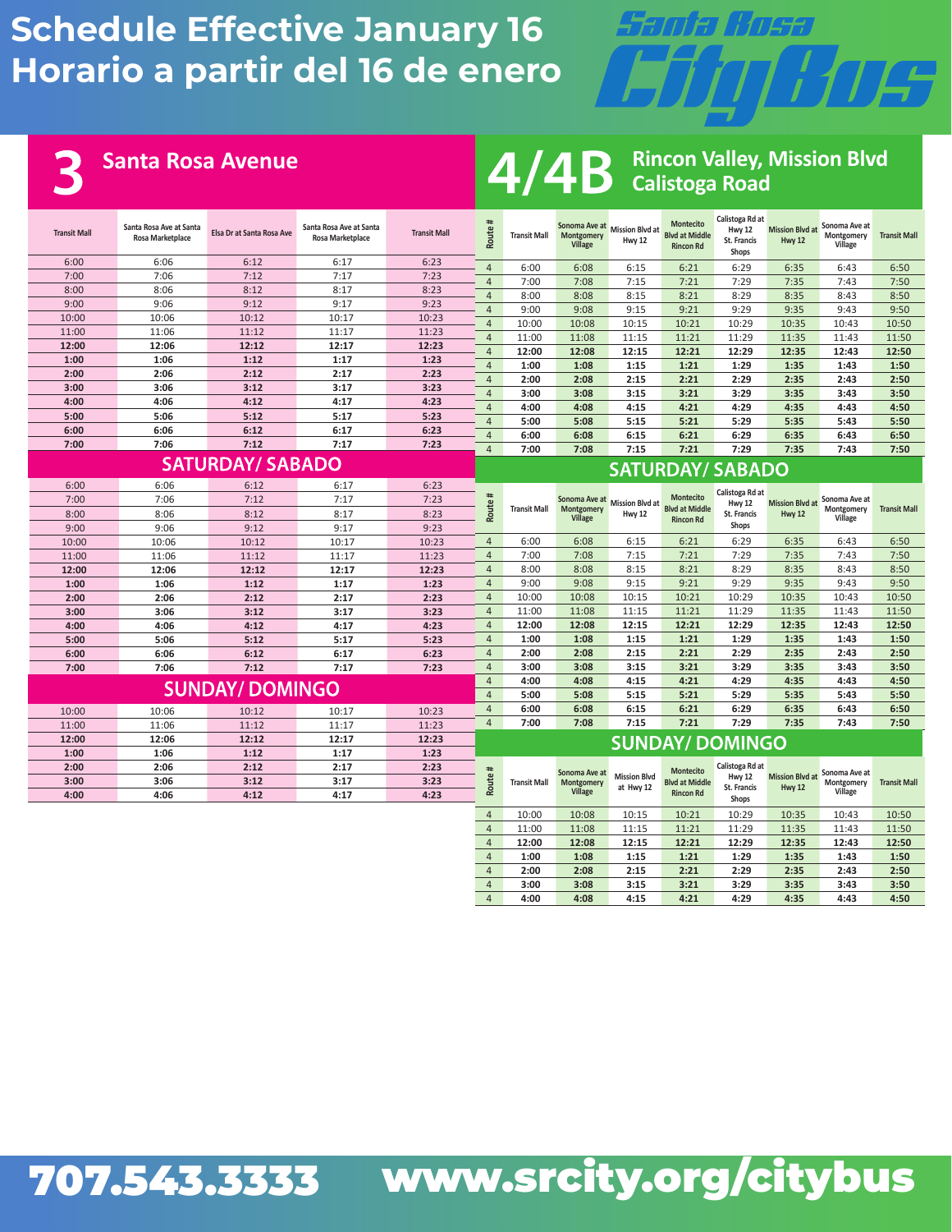

6

**Santa Rosa Avenue Rincon Valley, Mission Blvd**<br>**Rincon Valley, Mission Blvd**<br>**Rincon Valley, Mission Blvd Calistoga Road**

| <b>Transit Mall</b> | Santa Rosa Ave at Santa<br>Elsa Dr at Santa Rosa Ave<br><b>Rosa Marketplace</b> |                        | Santa Rosa Ave at Santa<br>Rosa Marketplace | <b>Transit Mall</b> | Route#                           | <b>Transit Mall</b> | Montgomery<br>Village   | Sonoma Ave at Mission Blvd at<br>Hwy 12 | <b>Montecito</b><br><b>Blvd at Middle</b><br><b>Rincon Rd</b> | Calistoga Rd at<br>Hwy 12<br><b>St. Francis</b><br>Shops | <b>Mission Blvd at</b><br>Hwy 12 | Sonoma Ave at<br>Montgomery<br>Village | <b>Transit Mall</b> |
|---------------------|---------------------------------------------------------------------------------|------------------------|---------------------------------------------|---------------------|----------------------------------|---------------------|-------------------------|-----------------------------------------|---------------------------------------------------------------|----------------------------------------------------------|----------------------------------|----------------------------------------|---------------------|
| 6:00                | 6:06                                                                            | 6:12                   | 6:17                                        | 6:23                | $\overline{4}$                   | 6:00                | 6:08                    | 6:15                                    | 6:21                                                          | 6:29                                                     | 6:35                             | 6:43                                   | 6:50                |
| 7:00                | 7:06                                                                            | 7:12                   | 7:17                                        | 7:23                | $\overline{4}$                   | 7:00                | 7:08                    | 7:15                                    | 7:21                                                          | 7:29                                                     | 7:35                             | 7:43                                   | 7:50                |
| 8:00                | 8:06                                                                            | 8:12                   | 8:17                                        | 8:23                | $\overline{4}$                   | 8:00                | 8:08                    | 8:15                                    | 8:21                                                          | 8:29                                                     | 8:35                             | 8:43                                   | 8:50                |
| 9:00                | 9:06                                                                            | 9:12                   | 9:17                                        | 9:23                | $\overline{4}$                   | 9:00                | 9:08                    | 9:15                                    | 9:21                                                          | 9:29                                                     | 9:35                             | 9:43                                   | 9:50                |
| 10:00               | 10:06                                                                           | 10:12                  | 10:17                                       | 10:23               | $\overline{4}$                   | 10:00               | 10:08                   | 10:15                                   | 10:21                                                         | 10:29                                                    | 10:35                            | 10:43                                  | 10:50               |
| 11:00               | 11:06                                                                           | 11:12                  | 11:17                                       | 11:23               | $\overline{4}$                   | 11:00               | 11:08                   | 11:15                                   | 11:21                                                         | 11:29                                                    | 11:35                            | 11:43                                  | 11:50               |
| 12:00               | 12:06                                                                           | 12:12                  | 12:17                                       | 12:23               | $\overline{4}$                   | 12:00               | 12:08                   | 12:15                                   | 12:21                                                         | 12:29                                                    | 12:35                            | 12:43                                  | 12:50               |
| 1:00                | 1:06                                                                            | 1:12                   | 1:17                                        | 1:23                | $\overline{4}$                   | 1:00                | 1:08                    | 1:15                                    | 1:21                                                          | 1:29                                                     | 1:35                             | 1:43                                   | 1:50                |
| 2:00                | 2:06                                                                            | 2:12                   | 2:17                                        | 2:23                | $\overline{4}$                   | 2:00                | 2:08                    | 2:15                                    | 2:21                                                          | 2:29                                                     | 2:35                             | 2:43                                   | 2:50                |
| 3:00                | 3:06                                                                            | 3:12                   | 3:17                                        | 3:23                | $\overline{4}$                   | 3:00                | 3:08                    | 3:15                                    | 3:21                                                          | 3:29                                                     | 3:35                             | 3:43                                   | 3:50                |
| 4:00                | 4:06                                                                            | 4:12                   | 4:17                                        | 4:23                | $\overline{4}$                   | 4:00                | 4:08                    | 4:15                                    | 4:21                                                          | 4:29                                                     | 4:35                             | 4:43                                   | 4:50                |
| 5:00                | 5:06                                                                            | 5:12                   | 5:17                                        | 5:23                | $\overline{4}$                   | 5:00                | 5:08                    | 5:15                                    | 5:21                                                          | 5:29                                                     | 5:35                             | 5:43                                   | 5:50                |
| 6:06<br>6:00        |                                                                                 | 6:12                   | 6:17                                        | 6:23                | $\overline{4}$                   | 6:00                | 6:08                    | 6:15                                    | 6:21                                                          | 6:29                                                     | 6:35                             | 6:43                                   | 6:50                |
| 7:00                | 7:06                                                                            | 7:12                   | 7:17                                        | 7:23                | $\overline{4}$                   | 7:00                | 7:08                    | 7:15                                    | 7:21                                                          | 7:29                                                     | 7:35                             | 7:43                                   | 7:50                |
|                     | <b>SATURDAY/ SABADO</b>                                                         |                        |                                             |                     |                                  |                     | <b>SATURDAY/ SABADO</b> |                                         |                                                               |                                                          |                                  |                                        |                     |
| 6:00                | 6:06                                                                            | 6:12                   | 6:17                                        | 6:23                |                                  |                     |                         |                                         |                                                               | Calistoga Rd at                                          |                                  |                                        |                     |
| 7:00                | 7:06                                                                            | 7:12                   | 7:17                                        | 7:23                |                                  |                     | Sonoma Ave at           | <b>Mission Blvd at</b>                  | <b>Montecito</b><br><b>Blvd at Middle</b>                     | <b>Hwy 12</b>                                            | <b>Mission Blvd at</b>           | Sonoma Ave at                          | <b>Transit Mall</b> |
| 8:00                | 8:06                                                                            | 8:12                   | 8:17                                        | 8:23                | Route#                           | <b>Transit Mall</b> | Montgomery<br>Village   | Hwy 12                                  | <b>Rincon Rd</b>                                              | <b>St. Francis</b>                                       | Hwy 12                           | Montgomery<br>Village                  |                     |
| 9:00                | 9:06                                                                            | 9:12                   | 9:17                                        | 9:23                |                                  |                     |                         |                                         |                                                               | Shops                                                    |                                  |                                        |                     |
| 10:00               | 10:06                                                                           | 10:12                  | 10:17                                       | 10:23               | $\overline{4}$                   | 6:00                | 6:08                    | 6:15                                    | 6:21                                                          | 6:29                                                     | 6:35                             | 6:43                                   | 6:50                |
| 11:00               | 11:06                                                                           | 11:12                  | 11:17                                       | 11:23               | $\overline{4}$                   | 7:00                | 7:08                    | 7:15                                    | 7:21                                                          | 7:29                                                     | 7:35                             | 7:43                                   | 7:50                |
| 12:00               | 12:06                                                                           | 12:12                  | 12:17                                       | 12:23               | $\overline{4}$                   | 8:00                | 8:08                    | 8:15                                    | 8:21                                                          | 8:29                                                     | 8:35                             | 8:43                                   | 8:50                |
| 1:00                | 1:06                                                                            | 1:12                   | 1:17                                        | 1:23                | $\overline{4}$                   | 9:00                | 9:08                    | 9:15                                    | 9:21                                                          | 9:29                                                     | 9:35                             | 9:43                                   | 9:50                |
| 2:00                | 2:06                                                                            | 2:12                   | 2:17                                        | 2:23                | $\overline{4}$                   | 10:00               | 10:08                   | 10:15                                   | 10:21                                                         | 10:29                                                    | 10:35                            | 10:43                                  | 10:50               |
| 3:00                | 3:06                                                                            | 3:12                   | 3:17                                        | 3:23                | $\overline{4}$                   | 11:00               | 11:08                   | 11:15                                   | 11:21                                                         | 11:29                                                    | 11:35                            | 11:43                                  | 11:50               |
| 4:00                | 4:06                                                                            | 4:12                   | 4:17                                        | 4:23                | $\overline{4}$                   | 12:00               | 12:08                   | 12:15                                   | 12:21                                                         | 12:29                                                    | 12:35                            | 12:43                                  | 12:50               |
| 5:00                | 5:06                                                                            | 5:12                   | 5:17                                        | 5:23                | $\overline{4}$                   | 1:00                | 1:08                    | 1:15                                    | 1:21                                                          | 1:29                                                     | 1:35                             | 1:43                                   | 1:50                |
| 6:00                | 6:06                                                                            | 6:12                   | 6:17                                        | 6:23                | $\overline{4}$                   | 2:00                | 2:08                    | 2:15                                    | 2:21                                                          | 2:29                                                     | 2:35                             | 2:43                                   | 2:50                |
| 7:00                | 7:06                                                                            | 7:12                   | 7:17                                        | 7:23                | $\overline{4}$                   | 3:00                | 3:08                    | 3:15                                    | 3:21                                                          | 3:29                                                     | 3:35                             | 3:43                                   | 3:50                |
|                     |                                                                                 | <b>SUNDAY/ DOMINGO</b> |                                             |                     | $\overline{4}$                   | 4:00                | 4:08                    | 4:15                                    | 4:21                                                          | 4:29                                                     | 4:35                             | 4:43                                   | 4:50                |
|                     |                                                                                 |                        |                                             |                     | $\overline{4}$<br>$\overline{4}$ | 5:00                | 5:08                    | 5:15<br>6:15                            | 5:21<br>6:21                                                  | 5:29<br>6:29                                             | 5:35<br>6:35                     | 5:43                                   | 5:50                |
| 10:00               | 10:06                                                                           | 10:12                  | 10:17                                       | 10:23               | $\overline{4}$                   | 6:00<br>7:00        | 6:08<br>7:08            | 7:15                                    | 7:21                                                          | 7:29                                                     | 7:35                             | 6:43<br>7:43                           | 6:50<br>7:50        |
| 11:00               | 11:06                                                                           | 11:12                  | 11:17                                       | 11:23               |                                  |                     |                         |                                         |                                                               |                                                          |                                  |                                        |                     |
| 12:00               | 12:06                                                                           | 12:12                  | 12:17                                       | 12:23               |                                  |                     |                         |                                         | <b>SUNDAY/ DOMINGO</b>                                        |                                                          |                                  |                                        |                     |
| 1:00                | 1:06                                                                            | 1:12                   | 1:17                                        | 1:23                |                                  |                     |                         |                                         |                                                               |                                                          |                                  |                                        |                     |
| 2:00                | 2:06                                                                            | 2:12                   | 2:17                                        | 2:23                | #                                |                     | Sonoma Ave at           | <b>Mission Blvd</b>                     | Montecito                                                     | Calistoga Rd at<br>Hwy 12                                | <b>Mission Blvd at</b>           | Sonoma Ave at                          |                     |
| 3:00                | 3:06                                                                            | 3:12                   | 3:17                                        | 3:23<br>4:23        | Route                            | <b>Transit Mall</b> | Montgomery<br>Village   | at Hwy 12                               | <b>Blyd at Middle</b><br><b>Rincon Rd</b>                     | <b>St. Francis</b>                                       | Hwy 12                           | Montgomery<br>Village                  | <b>Transit Mall</b> |
| 4:00                | 4:06                                                                            | 4:12                   | 4:17                                        |                     |                                  |                     |                         |                                         |                                                               | Shops                                                    |                                  |                                        |                     |
|                     |                                                                                 |                        |                                             |                     | $\overline{4}$                   | 10:00               | 10:08                   | 10:15                                   | 10:21                                                         | 10:29                                                    | 10:35                            | 10:43                                  | 10:50               |
|                     |                                                                                 |                        |                                             |                     | $\overline{4}$                   | 11:00               | 11:08                   | 11:15                                   | 11:21                                                         | 11:29                                                    | 11:35                            | 11:43                                  | 11:50               |
|                     |                                                                                 |                        |                                             |                     | $\overline{4}$                   | 12:00               | 12:08                   | 12:15                                   | 12:21                                                         | 12:29                                                    | 12:35                            | 12:43                                  | 12:50               |
|                     |                                                                                 |                        |                                             |                     | $\overline{4}$                   | 1:00                | 1:08                    | 1:15                                    | 1:21                                                          | 1:29                                                     | 1:35                             | 1:43                                   | 1:50                |
|                     |                                                                                 |                        |                                             |                     | $\overline{4}$                   | 2:00                | 2:08                    | 2:15                                    | 2:21                                                          | 2:29                                                     | 2:35                             | 2:43                                   | 2:50                |
|                     |                                                                                 |                        |                                             |                     | $\overline{4}$                   | 3:00                | 3:08                    | 3:15                                    | 3:21                                                          | 3:29                                                     | 3:35                             | 3:43                                   | 3:50                |
|                     |                                                                                 |                        |                                             |                     | $\overline{4}$                   | 4:00                | 4:08                    | 4:15                                    | 4:21                                                          | 4:29                                                     | 4:35                             | 4:43                                   | 4:50                |

## 707.543.3333 www.srcity.org/citybus 707.543.3333 www.srcity.org/citybus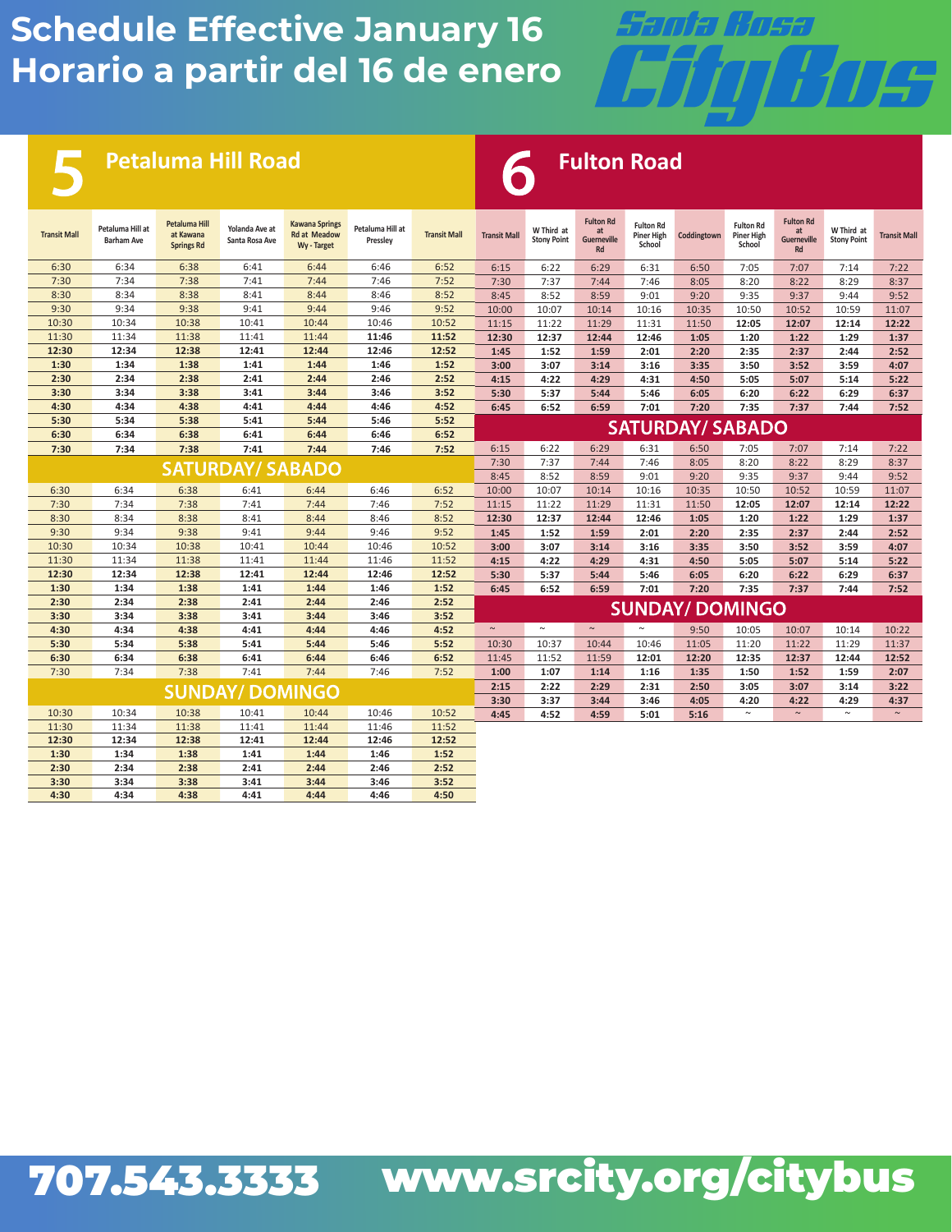

**Petaluma Hill Road Fulton Road** 

| <b>Transit Mall</b> | Petaluma Hill at<br><b>Barham Ave</b> | <b>Petaluma Hill</b><br>at Kawana<br><b>Springs Rd</b> | Yolanda Ave at<br>Santa Rosa Ave | <b>Kawana Springs</b><br><b>Rd at Meadow</b><br>Wy - Target | Petaluma Hill at<br>Pressley | <b>Transit Mall</b> | <b>Transit Mall</b> | W Third at<br><b>Stony Point</b> | <b>Fulton Rd</b><br>at<br>Guerneville<br>Rd | <b>Fulton Rd</b><br><b>Piner High</b><br>School | Coddingtown             | <b>Fulton Rd</b><br>Piner High<br>School | <b>Fulton Rd</b><br>at<br><b>Guerneville</b><br>Rd | W Third at<br><b>Stony Point</b> | <b>Transit Mall</b> |
|---------------------|---------------------------------------|--------------------------------------------------------|----------------------------------|-------------------------------------------------------------|------------------------------|---------------------|---------------------|----------------------------------|---------------------------------------------|-------------------------------------------------|-------------------------|------------------------------------------|----------------------------------------------------|----------------------------------|---------------------|
| 6:30                | 6:34                                  | 6:38                                                   | 6:41                             | 6:44                                                        | 6:46                         | 6:52                | 6:15                | 6:22                             | 6:29                                        | 6:31                                            | 6:50                    | 7:05                                     | 7:07                                               | 7:14                             | 7:22                |
| 7:30                | 7:34                                  | 7:38                                                   | 7:41                             | 7:44                                                        | 7:46                         | 7:52                | 7:30                | 7:37                             | 7:44                                        | 7:46                                            | 8:05                    | 8:20                                     | 8:22                                               | 8:29                             | 8:37                |
| 8:30                | 8:34                                  | 8:38                                                   | 8:41                             | 8:44                                                        | 8:46                         | 8:52                | 8:45                | 8:52                             | 8:59                                        | 9:01                                            | 9:20                    | 9:35                                     | 9:37                                               | 9:44                             | 9:52                |
| 9:30                | 9:34                                  | 9:38                                                   | 9:41                             | 9:44                                                        | 9:46                         | 9:52                | 10:00               | 10:07                            | 10:14                                       | 10:16                                           | 10:35                   | 10:50                                    | 10:52                                              | 10:59                            | 11:07               |
| 10:30               | 10:34                                 | 10:38                                                  | 10:41                            | 10:44                                                       | 10:46                        | 10:52               | 11:15               | 11:22                            | 11:29                                       | 11:31                                           | 11:50                   | 12:05                                    | 12:07                                              | 12:14                            | 12:22               |
| 11:30               | 11:34                                 | 11:38                                                  | 11:41                            | 11:44                                                       | 11:46                        | 11:52               | 12:30               | 12:37                            | 12:44                                       | 12:46                                           | 1:05                    | 1:20                                     | 1:22                                               | 1:29                             | 1:37                |
| 12:30               | 12:34                                 | 12:38                                                  | 12:41                            | 12:44                                                       | 12:46                        | 12:52               | 1:45                | 1:52                             | 1:59                                        | 2:01                                            | 2:20                    | 2:35                                     | 2:37                                               | 2:44                             | 2:52                |
| 1:30                | 1:34                                  | 1:38                                                   | 1:41                             | 1:44                                                        | 1:46                         | 1:52                | 3:00                | 3:07                             | 3:14                                        | 3:16                                            | 3:35                    | 3:50                                     | 3:52                                               | 3:59                             | 4:07                |
| 2:30                | 2:34                                  | 2:38                                                   | 2:41                             | 2:44                                                        | 2:46                         | 2:52                | 4:15                | 4:22                             | 4:29                                        | 4:31                                            | 4:50                    | 5:05                                     | 5:07                                               | 5:14                             | 5:22                |
| 3:30                | 3:34                                  | 3:38                                                   | 3:41                             | 3:44                                                        | 3:46                         | 3:52                | 5:30                | 5:37                             | 5:44                                        | 5:46                                            | 6:05                    | 6:20                                     | 6:22                                               | 6:29                             | 6:37                |
| 4:30                | 4:34                                  | 4:38                                                   | 4:41                             | 4:44                                                        | 4:46                         | 4:52                | 6:45                | 6:52                             | 6:59                                        | 7:01                                            | 7:20                    | 7:35                                     | 7:37                                               | 7:44                             | 7:52                |
| 5:30                | 5:34                                  | 5:38                                                   | 5:41                             | 5:44                                                        | 5:46                         | 5:52                |                     |                                  |                                             |                                                 | <b>SATURDAY/ SABADO</b> |                                          |                                                    |                                  |                     |
| 6:30                | 6:34                                  | 6:38                                                   | 6:41                             | 6:44                                                        | 6:46                         | 6:52                |                     |                                  |                                             |                                                 |                         |                                          |                                                    |                                  |                     |
| 7:30                | 7:34                                  | 7:38                                                   | 7:41                             | 7:44                                                        | 7:46                         | 7:52                | 6:15                | 6:22                             | 6:29                                        | 6:31                                            | 6:50                    | 7:05                                     | 7:07                                               | 7:14                             | 7:22                |
|                     |                                       |                                                        | <b>SATURDAY/ SABADO</b>          |                                                             |                              |                     | 7:30                | 7:37                             | 7:44                                        | 7:46                                            | 8:05                    | 8:20                                     | 8:22                                               | 8:29                             | 8:37                |
|                     |                                       |                                                        |                                  |                                                             |                              |                     | 8:45                | 8:52                             | 8:59                                        | 9:01                                            | 9:20                    | 9:35                                     | 9:37                                               | 9:44                             | 9:52                |
| 6:30                | 6:34                                  | 6:38                                                   | 6:41                             | 6:44                                                        | 6:46                         | 6:52                | 10:00               | 10:07                            | 10:14                                       | 10:16                                           | 10:35                   | 10:50                                    | 10:52                                              | 10:59                            | 11:07               |
| 7:30                | 7:34                                  | 7:38                                                   | 7:41                             | 7:44                                                        | 7:46                         | 7:52                | 11:15               | 11:22                            | 11:29                                       | 11:31                                           | 11:50                   | 12:05                                    | 12:07                                              | 12:14                            | 12:22               |
| 8:30                | 8:34                                  | 8:38                                                   | 8:41                             | 8:44                                                        | 8:46                         | 8:52                | 12:30               | 12:37                            | 12:44                                       | 12:46                                           | 1:05                    | 1:20                                     | 1:22                                               | 1:29                             | 1:37                |
| 9:30                | 9:34                                  | 9:38                                                   | 9:41                             | 9:44                                                        | 9:46                         | 9:52                | 1:45                | 1:52                             | 1:59                                        | 2:01                                            | 2:20                    | 2:35                                     | 2:37                                               | 2:44                             | 2:52                |
| 10:30               | 10:34                                 | 10:38                                                  | 10:41                            | 10:44                                                       | 10:46                        | 10:52               | 3:00                | 3:07                             | 3:14                                        | 3:16                                            | 3:35                    | 3:50                                     | 3:52                                               | 3:59                             | 4:07                |
| 11:30               | 11:34                                 | 11:38                                                  | 11:41                            | 11:44                                                       | 11:46                        | 11:52               | 4:15                | 4:22                             | 4:29                                        | 4:31                                            | 4:50                    | 5:05                                     | 5:07                                               | 5:14                             | 5:22                |
| 12:30               | 12:34                                 | 12:38                                                  | 12:41                            | 12:44                                                       | 12:46                        | 12:52               | 5:30                | 5:37                             | 5:44                                        | 5:46                                            | 6:05                    | 6:20                                     | 6:22                                               | 6:29                             | 6:37                |
| 1:30                | 1:34                                  | 1:38                                                   | 1:41                             | 1:44                                                        | 1:46                         | 1:52                | 6:45                | 6:52                             | 6:59                                        | 7:01                                            | 7:20                    | 7:35                                     | 7:37                                               | 7:44                             | 7:52                |
| 2:30                | 2:34                                  | 2:38                                                   | 2:41                             | 2:44                                                        | 2:46                         | 2:52                |                     |                                  |                                             |                                                 | <b>SUNDAY/ DOMINGO</b>  |                                          |                                                    |                                  |                     |
| 3:30                | 3:34                                  | 3:38                                                   | 3:41                             | 3:44                                                        | 3:46                         | 3:52                |                     |                                  |                                             |                                                 |                         |                                          |                                                    |                                  |                     |
| 4:30                | 4:34                                  | 4:38                                                   | 4:41                             | 4:44                                                        | 4:46                         | 4:52                | $\sim$              | $\sim$                           | $\sim$                                      | $\sim$                                          | 9:50                    | 10:05                                    | 10:07                                              | 10:14                            | 10:22               |
| 5:30                | 5:34                                  | 5:38                                                   | 5:41                             | 5:44                                                        | 5:46                         | 5:52                | 10:30               | 10:37                            | 10:44                                       | 10:46                                           | 11:05                   | 11:20                                    | 11:22                                              | 11:29                            | 11:37               |
| 6:30                | 6:34                                  | 6:38                                                   | 6:41                             | 6:44                                                        | 6:46                         | 6:52                | 11:45               | 11:52                            | 11:59                                       | 12:01                                           | 12:20                   | 12:35                                    | 12:37                                              | 12:44                            | 12:52               |
| 7:30                | 7:34                                  | 7:38                                                   | 7:41                             | 7:44                                                        | 7:46                         | 7:52                | 1:00                | 1:07                             | 1:14                                        | 1:16                                            | 1:35                    | 1:50                                     | 1:52                                               | 1:59                             | 2:07                |
|                     |                                       |                                                        | <b>SUNDAY/DOMINGO</b>            |                                                             |                              |                     | 2:15                | 2:22                             | 2:29                                        | 2:31                                            | 2:50                    | 3:05                                     | 3:07                                               | 3:14                             | 3:22                |
|                     |                                       |                                                        |                                  |                                                             |                              |                     | 3:30                | 3:37                             | 3:44                                        | 3:46                                            | 4:05                    | 4:20                                     | 4:22                                               | 4:29                             | 4:37                |
| 10:30               | 10:34                                 | 10:38                                                  | 10:41                            | 10:44                                                       | 10:46                        | 10:52               | 4:45                | 4:52                             | 4:59                                        | 5:01                                            | 5:16                    | $\sim$                                   | $\sim$                                             | $\sim$                           | $\sim$              |
| 11:30               | 11:34                                 | 11:38                                                  | 11:41                            | 11:44                                                       | 11:46                        | 11:52               |                     |                                  |                                             |                                                 |                         |                                          |                                                    |                                  |                     |
| 12:30               | 12:34                                 | 12:38                                                  | 12:41                            | 12:44                                                       | 12:46                        | 12:52               |                     |                                  |                                             |                                                 |                         |                                          |                                                    |                                  |                     |
| 1:30                | 1:34                                  | 1:38                                                   | 1:41                             | 1:44                                                        | 1:46                         | 1:52                |                     |                                  |                                             |                                                 |                         |                                          |                                                    |                                  |                     |
| 2:30                | 2:34                                  | 2:38                                                   | 2:41                             | 2:44                                                        | 2:46                         | 2:52                |                     |                                  |                                             |                                                 |                         |                                          |                                                    |                                  |                     |
| 3:30                | 3:34                                  | 3:38                                                   | 3:41                             | 3:44                                                        | 3:46                         | 3:52                |                     |                                  |                                             |                                                 |                         |                                          |                                                    |                                  |                     |
| 4:30                | 4:34                                  | 4:38                                                   | 4:41                             | 4:44                                                        | 4:46                         | 4:50                |                     |                                  |                                             |                                                 |                         |                                          |                                                    |                                  |                     |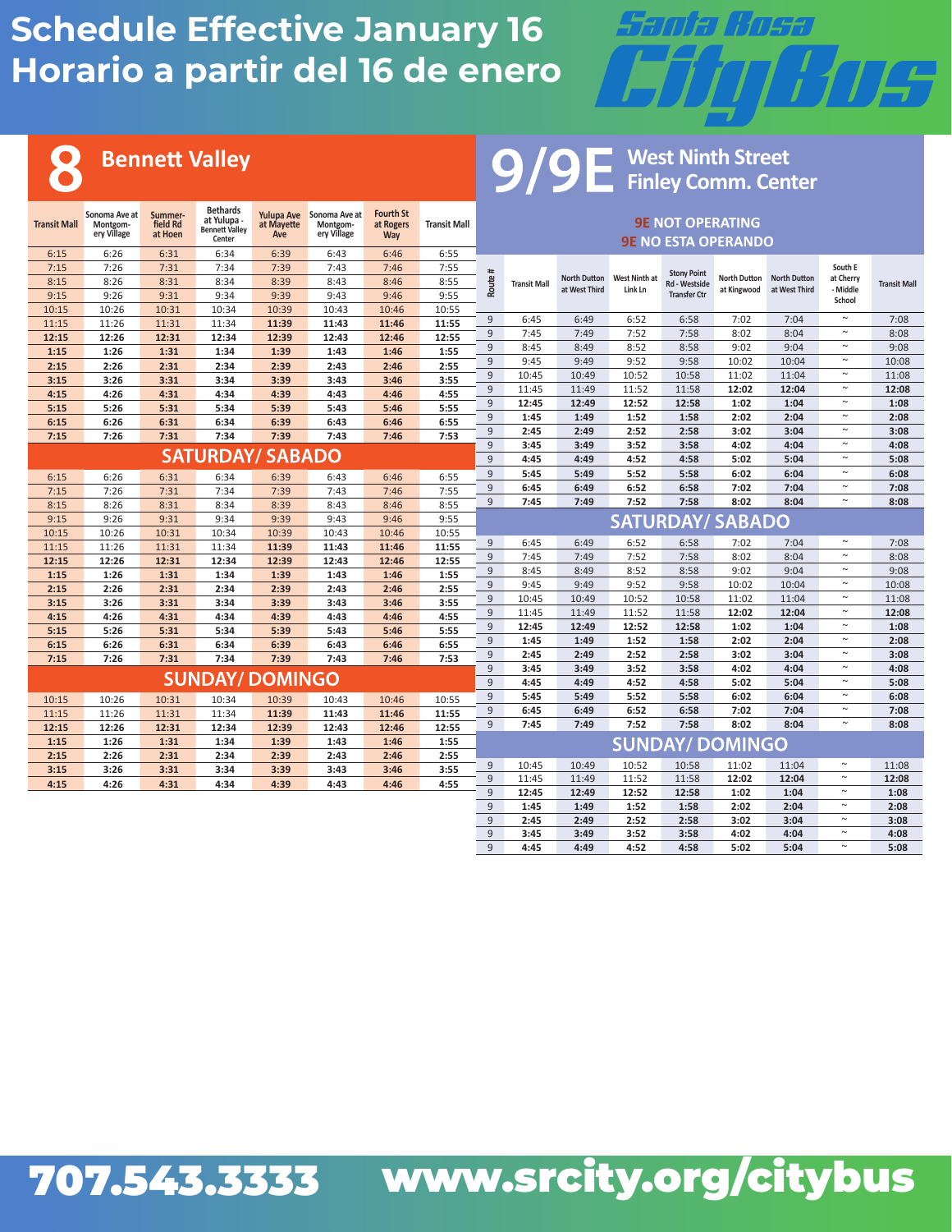

#### **Bennett Valley**

8

#### **West Ninth Street Finley Comm. Center**

| <b>Transit Mall</b> | Sonoma Ave at<br>Montgom-<br>ery Village | Summer-<br>field Rd<br>at Hoen | <b>Bethards</b><br>at Yulupa -<br><b>Bennett Valley</b><br>Center | at Mayette<br>Ave | Yulupa Ave Sonoma Ave at<br>Montgom-<br>ery Village | <b>Fourth St</b><br>at Rogers<br>Way | <b>Transit Mall</b> | <b>9E NOT OPERATING</b><br><b>9E NO ESTA OPERANDO</b> |                     |                     |               |                                      |                         |                     |                  |                     |
|---------------------|------------------------------------------|--------------------------------|-------------------------------------------------------------------|-------------------|-----------------------------------------------------|--------------------------------------|---------------------|-------------------------------------------------------|---------------------|---------------------|---------------|--------------------------------------|-------------------------|---------------------|------------------|---------------------|
| 6:15                | 6:26                                     | 6:31                           | 6:34                                                              | 6:39              | 6:43                                                | 6:46                                 | 6:55                |                                                       |                     |                     |               |                                      |                         |                     |                  |                     |
| 7:15                | 7:26                                     | 7:31                           | 7:34                                                              | 7:39              | 7:43                                                | 7:46                                 | 7:55                |                                                       |                     |                     |               |                                      |                         |                     | South E          |                     |
| 8:15                | 8:26                                     | 8:31                           | 8:34                                                              | 8:39              | 8:43                                                | 8:46                                 | 8:55                |                                                       |                     | <b>North Dutton</b> | West Ninth at | <b>Stony Point</b>                   | <b>North Dutton</b>     | <b>North Dutton</b> | at Cherry        |                     |
| 9:15                | 9:26                                     | 9:31                           | 9:34                                                              | 9:39              | 9:43                                                | 9:46                                 | 9:55                | Route#                                                | <b>Transit Mall</b> | at West Third       | Link Ln       | Rd - Westside<br><b>Transfer Ctr</b> | at Kingwood             | at West Third       | - Middle         | <b>Transit Mall</b> |
| 10:15               | 10:26                                    | 10:31                          | 10:34                                                             | 10:39             | 10:43                                               | 10:46                                | 10:55               |                                                       |                     |                     |               |                                      |                         |                     | School           |                     |
| 11:15               | 11:26                                    | 11:31                          | 11:34                                                             | 11:39             | 11:43                                               | 11:46                                | 11:55               | 9                                                     | 6:45                | 6:49                | 6:52          | 6:58                                 | 7:02                    | 7:04                | $\sim$           | 7:08                |
| 12:15               | 12:26                                    | 12:31                          | 12:34                                                             | 12:39             | 12:43                                               | 12:46                                | 12:55               | 9                                                     | 7:45                | 7:49                | 7:52          | 7:58                                 | 8:02                    | 8:04                | $\sim$           | 8:08                |
| 1:15                | 1:26                                     | 1:31                           | 1:34                                                              | 1:39              | 1:43                                                | 1:46                                 | 1:55                | 9                                                     | 8:45                | 8:49                | 8:52          | 8:58                                 | 9:02                    | 9:04                | $\sim$           | 9:08                |
| 2:15                | 2:26                                     | 2:31                           | 2:34                                                              | 2:39              | 2:43                                                | 2:46                                 | 2:55                | 9                                                     | 9:45                | 9:49                | 9:52          | 9:58                                 | 10:02                   | 10:04               | $\sim$           | 10:08               |
| 3:15                | 3:26                                     | 3:31                           | 3:34                                                              | 3:39              | 3:43                                                | 3:46                                 | 3:55                | $\overline{9}$                                        | 10:45               | 10:49               | 10:52         | 10:58                                | 11:02                   | 11:04               | $\sim$           | 11:08               |
| 4:15                | 4:26                                     | 4:31                           | 4:34                                                              | 4:39              | 4:43                                                | 4:46                                 | 4:55                | 9                                                     | 11:45               | 11:49               | 11:52         | 11:58                                | 12:02                   | 12:04               | $\sim$           | 12:08               |
| 5:15                | 5:26                                     | 5:31                           | 5:34                                                              | 5:39              | 5:43                                                | 5:46                                 | 5:55                | 9                                                     | 12:45               | 12:49               | 12:52         | 12:58                                | 1:02                    | 1:04                | $\sim$           | 1:08                |
| 6:15                | 6:26                                     | 6:31                           | 6:34                                                              | 6:39              | 6:43                                                | 6:46                                 | 6:55                | 9                                                     | 1:45                | 1:49                | 1:52          | 1:58                                 | 2:02                    | 2:04                | $\sim$           | 2:08                |
| 7:15                | 7:26                                     | 7:31                           | 7:34                                                              | 7:39              | 7:43                                                | 7:46                                 | 7:53                | 9                                                     | 2:45                | 2:49                | 2:52          | 2:58                                 | 3:02                    | 3:04                | $\sim$           | 3:08                |
|                     |                                          |                                |                                                                   |                   |                                                     |                                      |                     | 9                                                     | 3:45                | 3:49                | 3:52          | 3:58                                 | 4:02                    | 4:04                | $\sim$           | 4:08                |
|                     |                                          |                                | <b>SATURDAY/ SABADO</b>                                           |                   |                                                     |                                      |                     | 9                                                     | 4:45                | 4:49                | 4:52          | 4:58                                 | 5:02                    | 5:04                | $\sim$           | 5:08                |
| 6:15                | 6:26                                     | 6:31                           | 6:34                                                              | 6:39              | 6:43                                                | 6:46                                 | 6:55                | $\overline{9}$                                        | 5:45                | 5:49                | 5:52          | 5:58                                 | 6:02                    | 6:04                | $\sim$           | 6:08                |
| 7:15                | 7:26                                     | 7:31                           | 7:34                                                              | 7:39              | 7:43                                                | 7:46                                 | 7:55                | 9                                                     | 6:45                | 6:49                | 6:52          | 6:58                                 | 7:02                    | 7:04                | $\sim$           | 7:08                |
| 8:15                | 8:26                                     | 8:31                           | 8:34                                                              | 8:39              | 8:43                                                | 8:46                                 | 8:55                | 9                                                     | 7:45                | 7:49                | 7:52          | 7:58                                 | 8:02                    | 8:04                | $\sim$           | 8:08                |
| 9:15                | 9:26                                     | 9:31                           | 9:34                                                              | 9:39              | 9:43                                                | 9:46                                 | 9:55                |                                                       |                     |                     |               |                                      | <b>SATURDAY/ SABADC</b> |                     |                  |                     |
| 10:15               | 10:26                                    | 10:31                          | 10:34                                                             | 10:39             | 10:43                                               | 10:46                                | 10:55               |                                                       |                     |                     |               |                                      |                         |                     |                  |                     |
| 11:15               | 11:26                                    | 11:31                          | 11:34                                                             | 11:39             | 11:43                                               | 11:46                                | 11:55               | 9                                                     | 6:45                | 6:49                | 6:52          | 6:58                                 | 7:02                    | 7:04                | $\sim$           | 7:08                |
| 12:15               | 12:26                                    | 12:31                          | 12:34                                                             | 12:39             | 12:43                                               | 12:46                                | 12:55               | 9                                                     | 7:45                | 7:49                | 7:52          | 7:58                                 | 8:02                    | 8:04                | $\sim$           | 8:08                |
| 1:15                | 1:26                                     | 1:31                           | 1:34                                                              | 1:39              | 1:43                                                | 1:46                                 | 1:55                | 9                                                     | 8:45                | 8:49                | 8:52          | 8:58                                 | 9:02                    | 9:04                | $\sim$           | 9:08                |
| 2:15                | 2:26                                     | 2:31                           | 2:34                                                              | 2:39              | 2:43                                                | 2:46                                 | 2:55                | 9                                                     | 9:45                | 9:49                | 9:52          | 9:58                                 | 10:02                   | 10:04               | $\sim$           | 10:08               |
| 3:15                | 3:26                                     | 3:31                           | 3:34                                                              | 3:39              | 3:43                                                | 3:46                                 | 3:55                | $\overline{9}$                                        | 10:45               | 10:49               | 10:52         | 10:58                                | 11:02                   | 11:04               | $\sim$           | 11:08               |
| 4:15                | 4:26                                     | 4:31                           | 4:34                                                              | 4:39              | 4:43                                                | 4:46                                 | 4:55                | $\boldsymbol{9}$                                      | 11:45               | 11:49               | 11:52         | 11:58                                | 12:02                   | 12:04               | $\sim$           | 12:08               |
| 5:15                | 5:26                                     | 5:31                           | 5:34                                                              | 5:39              | 5:43                                                | 5:46                                 | 5:55                | 9                                                     | 12:45               | 12:49               | 12:52         | 12:58                                | 1:02                    | 1:04                | $\sim$           | 1:08                |
| 6:15                | 6:26                                     | 6:31                           | 6:34                                                              | 6:39              | 6:43                                                | 6:46                                 | 6:55                | $\boldsymbol{9}$                                      | 1:45                | 1:49                | 1:52          | 1:58                                 | 2:02                    | 2:04                | $\sim$           | 2:08                |
| 7:15                | 7:26                                     | 7:31                           | 7:34                                                              | 7:39              | 7:43                                                | 7:46                                 | 7:53                | 9                                                     | 2:45                | 2:49                | 2:52          | 2:58                                 | 3:02                    | 3:04                | $\sim$           | 3:08                |
|                     |                                          |                                | <b>SUNDAY/ DOMINGO</b>                                            |                   |                                                     |                                      |                     | $\overline{9}$                                        | 3:45                | 3:49                | 3:52          | 3:58                                 | 4:02                    | 4:04                | $\sim$           | 4:08                |
|                     |                                          |                                |                                                                   |                   |                                                     |                                      |                     | 9                                                     | 4:45                | 4:49                | 4:52          | 4:58                                 | 5:02                    | 5:04                | $\sim$           | 5:08                |
| 10:15               | 10:26                                    | 10:31                          | 10:34                                                             | 10:39             | 10:43                                               | 10:46                                | 10:55               | 9                                                     | 5:45                | 5:49                | 5:52          | 5:58                                 | 6:02                    | 6:04                | $\sim$           | 6:08                |
| 11:15               | 11:26                                    | 11:31                          | 11:34                                                             | 11:39             | 11:43                                               | 11:46                                | 11:55               | 9                                                     | 6:45                | 6:49                | 6:52          | 6:58                                 | 7:02                    | 7:04                | $\sim$           | 7:08                |
| 12:15               | 12:26                                    | 12:31                          | 12:34                                                             | 12:39             | 12:43                                               | 12:46                                | 12:55               | $\overline{9}$                                        | 7:45                | 7:49                | 7:52          | 7:58                                 | 8:02                    | 8:04                | $\sim$           | 8:08                |
| 1:15                | 1:26                                     | 1:31                           | 1:34                                                              | 1:39              | 1:43                                                | 1:46                                 | 1:55                |                                                       |                     |                     |               |                                      | <b>SUNDAY/ DOMINGO</b>  |                     |                  |                     |
| 2:15                | 2:26                                     | 2:31                           | 2:34                                                              | 2:39              | 2:43                                                | 2:46                                 | 2:55                |                                                       |                     |                     |               |                                      |                         |                     |                  |                     |
| 3:15                | 3:26                                     | 3:31                           | 3:34                                                              | 3:39              | 3:43                                                | 3:46                                 | 3:55                | 9                                                     | 10:45               | 10:49               | 10:52         | 10:58                                | 11:02                   | 11:04               | $\sim$           | 11:08               |
| 4:15                | 4:26                                     | 4:31                           | 4:34                                                              | 4:39              | 4:43                                                | 4:46                                 | 4:55                | 9                                                     | 11:45               | 11:49               | 11:52         | 11:58                                | 12:02                   | 12:04               | $\sim$<br>$\sim$ | 12:08               |
|                     |                                          |                                |                                                                   |                   |                                                     |                                      |                     | 9                                                     | 12:45               | 12:49               | 12:52         | 12:58                                | 1:02                    | 1:04                | $\sim$           | 1:08                |
|                     |                                          |                                |                                                                   |                   |                                                     |                                      |                     | $\overline{9}$                                        | 1:45                | 1:49                | 1:52          | 1:58                                 | 2:02                    | 2:04                | $\sim$           | 2:08                |
|                     |                                          |                                |                                                                   |                   |                                                     |                                      |                     | 9<br>9                                                | 2:45<br>3:45        | 2:49<br>3:49        | 2:52<br>3:52  | 2:58<br>3:58                         | 3:02<br>4:02            | 3:04<br>4:04        | $\sim$           | 3:08<br>4:08        |
|                     |                                          |                                |                                                                   |                   |                                                     |                                      |                     | 9                                                     | 4:45                | 4:49                | 4:52          | 4:58                                 | 5:02                    | 5:04                | $\sim$           | 5:08                |
|                     |                                          |                                |                                                                   |                   |                                                     |                                      |                     |                                                       |                     |                     |               |                                      |                         |                     |                  |                     |

## 707.543.3333 www.srcity.org/citybus 707.543.3333 www.srcity.org/citybus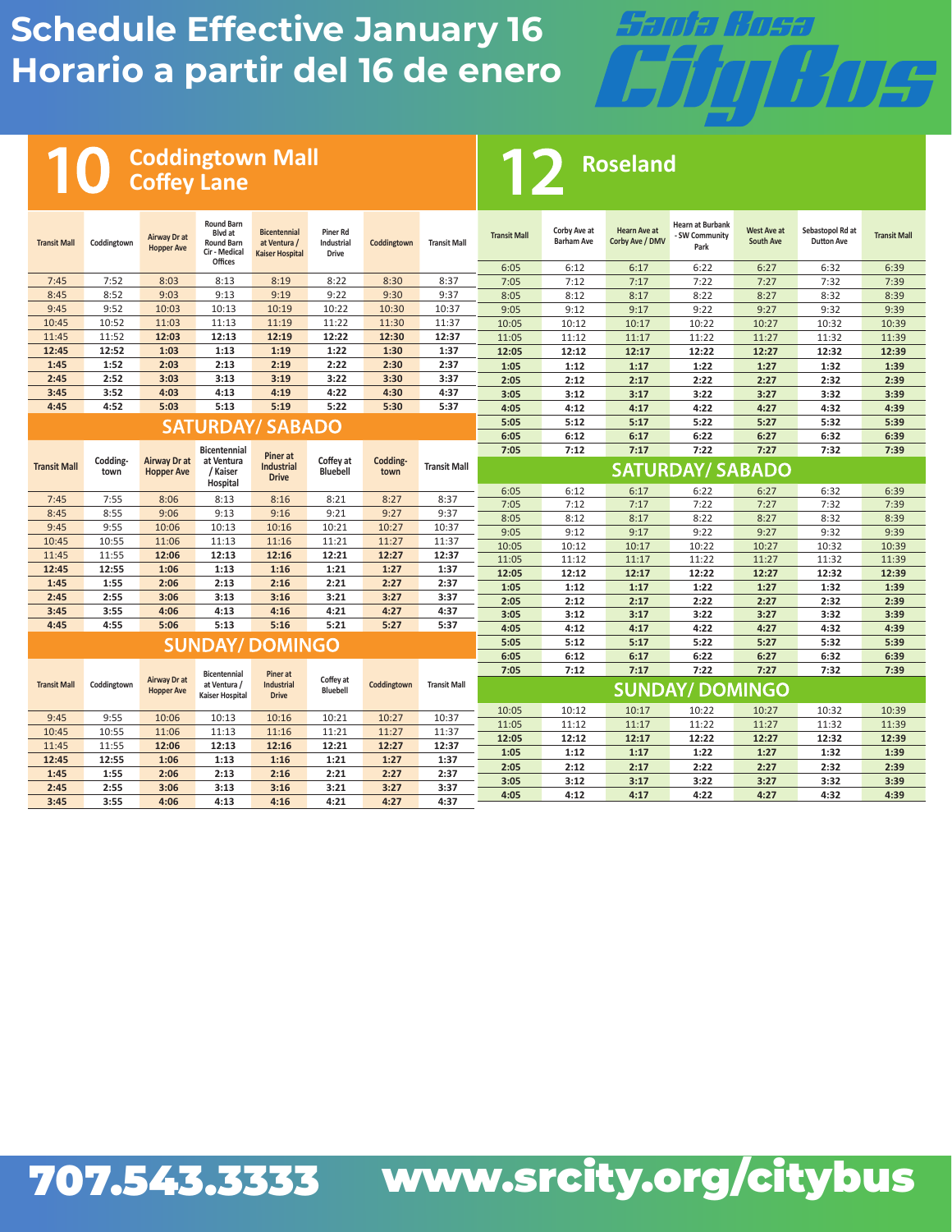

**Roseland**

#### **Coddingtown Mall Coffey Lane**

| <b>Transit Mall</b> | Coddingtown      | Airway Dr at<br><b>Hopper Ave</b> | <b>Round Barn</b><br>Blyd at<br><b>Round Barn</b><br>Cir - Medical<br>Offices | <b>Bicentennial</b><br>at Ventura /<br><b>Kaiser Hospital</b> | Piner Rd<br>Industrial<br><b>Drive</b> | Coddingtown      | <b>Transit Mall</b> | <b>Transit Mall</b> | Corby Ave at<br><b>Barham Ave</b> | <b>Hearn Ave at</b><br>Corby Ave / DMV | <b>Hearn at Burbank</b><br>- SW Community<br>Park | West Ave at<br><b>South Ave</b> | Sebastopol Rd at<br><b>Dutton Ave</b> | <b>Transit Mall</b> |
|---------------------|------------------|-----------------------------------|-------------------------------------------------------------------------------|---------------------------------------------------------------|----------------------------------------|------------------|---------------------|---------------------|-----------------------------------|----------------------------------------|---------------------------------------------------|---------------------------------|---------------------------------------|---------------------|
|                     |                  |                                   |                                                                               |                                                               |                                        |                  |                     | 6:05                | 6:12                              | 6:17                                   | 6:22                                              | 6:27                            | 6:32                                  | 6:39                |
| 7:45                | 7:52             | 8:03                              | 8:13                                                                          | 8:19                                                          | 8:22                                   | 8:30             | 8:37                | 7:05                | 7:12                              | 7:17                                   | 7:22                                              | 7:27                            | 7:32                                  | 7:39                |
| 8:45                | 8:52             | 9:03                              | 9:13                                                                          | 9:19                                                          | 9:22                                   | 9:30             | 9:37                | 8:05                | 8:12                              | 8:17                                   | 8:22                                              | 8:27                            | 8:32                                  | 8:39                |
| 9:45                | 9:52             | 10:03                             | 10:13                                                                         | 10:19                                                         | 10:22                                  | 10:30            | 10:37               | 9:05                | 9:12                              | 9:17                                   | 9:22                                              | 9:27                            | 9:32                                  | 9:39                |
| 10:45               | 10:52            | 11:03                             | 11:13                                                                         | 11:19                                                         | 11:22                                  | 11:30            | 11:37               | 10:05               | 10:12                             | 10:17                                  | 10:22                                             | 10:27                           | 10:32                                 | 10:39               |
| 11:45               | 11:52            | 12:03                             | 12:13                                                                         | 12:19                                                         | 12:22                                  | 12:30            | 12:37               | 11:05               | 11:12                             | 11:17                                  | 11:22                                             | 11:27                           | 11:32                                 | 11:39               |
| 12:45               | 12:52            | 1:03                              | 1:13                                                                          | 1:19                                                          | 1:22                                   | 1:30             | 1:37                | 12:05               | 12:12                             | 12:17                                  | 12:22                                             | 12:27                           | 12:32                                 | 12:39               |
| 1:45                | 1:52             | 2:03                              | 2:13                                                                          | 2:19                                                          | 2:22                                   | 2:30             | 2:37                | 1:05                | 1:12                              | 1:17                                   | 1:22                                              | 1:27                            | 1:32                                  | 1:39                |
| 2:45                | 2:52             | 3:03                              | 3:13                                                                          | 3:19                                                          | 3:22                                   | 3:30             | 3:37                | 2:05                | 2:12                              | 2:17                                   | 2:22                                              | 2:27                            | 2:32                                  | 2:39                |
| 3:45                | 3:52             | 4:03                              | 4:13                                                                          | 4:19                                                          | 4:22                                   | 4:30             | 4:37                | 3:05                | 3:12                              | 3:17                                   | 3:22                                              | 3:27                            | 3:32                                  | 3:39                |
| 4:45                | 4:52             | 5:03                              | 5:13                                                                          | 5:19                                                          | 5:22                                   | 5:30             | 5:37                | 4:05                | 4:12                              | 4:17                                   | 4:22                                              | 4:27                            | 4:32                                  | 4:39                |
|                     |                  |                                   | <b>SATURDAY/ SABADO</b>                                                       |                                                               |                                        |                  |                     | 5:05                | 5:12                              | 5:17                                   | 5:22                                              | 5:27                            | 5:32                                  | 5:39                |
|                     |                  |                                   |                                                                               |                                                               |                                        |                  |                     | 6:05                | 6:12                              | 6:17                                   | 6:22                                              | 6:27                            | 6:32                                  | 6:39                |
|                     |                  |                                   | <b>Bicentennial</b>                                                           | <b>Piner</b> at                                               |                                        |                  |                     | 7:05                | 7:12                              | 7:17                                   | 7:22                                              | 7:27                            | 7:32                                  | 7:39                |
| <b>Transit Mall</b> | Codding-<br>town | Airway Dr at<br><b>Hopper Ave</b> | at Ventura<br>/ Kaiser<br>Hospital                                            | <b>Industrial</b><br><b>Drive</b>                             | Coffey at<br><b>Bluebell</b>           | Codding-<br>town | <b>Transit Mall</b> |                     |                                   |                                        | <b>SATURDAY/ SABADO</b>                           |                                 |                                       |                     |
| 7:45                | 7:55             | 8:06                              | 8:13                                                                          | 8:16                                                          | 8:21                                   | 8:27             | 8:37                | 6:05                | 6:12                              | 6:17                                   | 6:22                                              | 6:27                            | 6:32                                  | 6:39                |
| 8:45                | 8:55             | 9:06                              | 9:13                                                                          | 9:16                                                          | 9:21                                   | 9:27             | 9:37                | 7:05                | 7:12                              | 7:17                                   | 7:22                                              | 7:27                            | 7:32                                  | 7:39                |
| 9:45                | 9:55             | 10:06                             | 10:13                                                                         | 10:16                                                         | 10:21                                  | 10:27            | 10:37               | 8:05                | 8:12                              | 8:17                                   | 8:22                                              | 8:27                            | 8:32                                  | 8:39                |
| 10:45               | 10:55            | 11:06                             | 11:13                                                                         | 11:16                                                         | 11:21                                  | 11:27            | 11:37               | 9:05                | 9:12                              | 9:17                                   | 9:22                                              | 9:27                            | 9:32                                  | 9:39                |
| 11:45               | 11:55            | 12:06                             | 12:13                                                                         | 12:16                                                         | 12:21                                  | 12:27            | 12:37               | 10:05               | 10:12                             | 10:17                                  | 10:22                                             | 10:27                           | 10:32                                 | 10:39               |
| 12:45               | 12:55            | 1:06                              | 1:13                                                                          | 1:16                                                          | 1:21                                   | 1:27             | 1:37                | 11:05               | 11:12                             | 11:17                                  | 11:22                                             | 11:27                           | 11:32                                 | 11:39               |
| 1:45                | 1:55             | 2:06                              | 2:13                                                                          | 2:16                                                          | 2:21                                   | 2:27             | 2:37                | 12:05               | 12:12                             | 12:17                                  | 12:22                                             | 12:27                           | 12:32                                 | 12:39               |
| 2:45                | 2:55             | 3:06                              | 3:13                                                                          | 3:16                                                          | 3:21                                   | 3:27             | 3:37                | 1:05                | 1:12                              | 1:17                                   | 1:22                                              | 1:27                            | 1:32                                  | 1:39                |
| 3:45                | 3:55             | 4:06                              | 4:13                                                                          | 4:16                                                          | 4:21                                   | 4:27             | 4:37                | 2:05                | 2:12                              | 2:17                                   | 2:22                                              | 2:27                            | 2:32                                  | 2:39                |
| 4:45                | 4:55             | 5:06                              | 5:13                                                                          | 5:16                                                          | 5:21                                   | 5:27             | 5:37                | 3:05                | 3:12                              | 3:17                                   | 3:22                                              | 3:27                            | 3:32                                  | 3:39                |
|                     |                  |                                   |                                                                               |                                                               |                                        |                  |                     | 4:05                | 4:12                              | 4:17                                   | 4:22                                              | 4:27                            | 4:32                                  | 4:39                |
|                     |                  |                                   | <b>SUNDAY/ DOMINGO</b>                                                        |                                                               |                                        |                  |                     | 5:05                | 5:12                              | 5:17                                   | 5:22                                              | 5:27                            | 5:32                                  | 5:39                |
|                     |                  |                                   |                                                                               |                                                               |                                        |                  |                     | 6:05                | 6:12                              | 6:17                                   | 6:22                                              | 6:27                            | 6:32                                  | 6:39                |
| <b>Transit Mall</b> | Coddingtown      | Airway Dr at<br><b>Hopper Ave</b> | <b>Bicentennial</b><br>at Ventura /                                           | Piner at<br>Industrial                                        | Coffey at<br><b>Bluebell</b>           | Coddingtown      | <b>Transit Mall</b> | 7:05                | 7:12                              | 7:17                                   | 7:22<br><b>SUNDAY/ DOMINGO</b>                    | 7:27                            | 7:32                                  | 7:39                |
|                     |                  |                                   | <b>Kaiser Hospital</b>                                                        | <b>Drive</b>                                                  |                                        |                  |                     |                     |                                   |                                        |                                                   |                                 |                                       |                     |
| 9:45                | 9:55             | 10:06                             | 10:13                                                                         | 10:16                                                         | 10:21                                  | 10:27            | 10:37               | 10:05               | 10:12                             | 10:17                                  | 10:22                                             | 10:27                           | 10:32                                 | 10:39               |
| 10:45               | 10:55            | 11:06                             | 11:13                                                                         | 11:16                                                         | 11:21                                  | 11:27            | 11:37               | 11:05               | 11:12                             | 11:17                                  | 11:22                                             | 11:27                           | 11:32                                 | 11:39               |
| 11:45               | 11:55            | 12:06                             | 12:13                                                                         | 12:16                                                         | 12:21                                  | 12:27            | 12:37               | 12:05               | 12:12                             | 12:17                                  | 12:22                                             | 12:27                           | 12:32                                 | 12:39               |
| 12:45               | 12:55            | 1:06                              | 1:13                                                                          | 1:16                                                          | 1:21                                   | 1:27             | 1:37                | 1:05                | 1:12                              | 1:17                                   | 1:22                                              | 1:27                            | 1:32                                  | 1:39                |
| 1:45                | 1:55             | 2:06                              | 2:13                                                                          | 2:16                                                          | 2:21                                   | 2:27             | 2:37                | 2:05                | 2:12                              | 2:17                                   | 2:22                                              | 2:27                            | 2:32                                  | 2:39                |
| 2:45                | 2:55             | 3:06                              | 3:13                                                                          | 3:16                                                          | 3:21                                   | 3:27             | 3:37                | 3:05                | 3:12                              | 3:17                                   | 3:22                                              | 3:27                            | 3:32                                  | 3:39                |
| 3:45                | 3:55             | 4:06                              | 4:13                                                                          | 4:16                                                          | 4:21                                   | 4:27             | 4:37                | 4:05                | 4:12                              | 4:17                                   | 4:22                                              | 4:27                            | 4:32                                  | 4:39                |

1